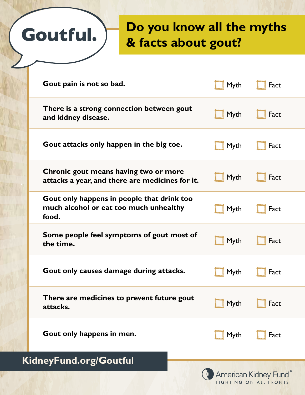## **Do you know all the myths & facts about gout?**

|                        | Gout pain is not so bad.                                                                      | Myth | Fact |  |  |
|------------------------|-----------------------------------------------------------------------------------------------|------|------|--|--|
|                        | There is a strong connection between gout<br>and kidney disease.                              | Myth | Fact |  |  |
|                        | Gout attacks only happen in the big toe.                                                      | Myth | Fact |  |  |
|                        | Chronic gout means having two or more<br>attacks a year, and there are medicines for it.      | Myth | Fact |  |  |
|                        | Gout only happens in people that drink too<br>much alcohol or eat too much unhealthy<br>food. | Myth | Fact |  |  |
|                        | Some people feel symptoms of gout most of<br>the time.                                        | Myth | Fact |  |  |
|                        | Gout only causes damage during attacks.                                                       | Myth | Fact |  |  |
|                        | There are medicines to prevent future gout<br>attacks.                                        | Myth | Fact |  |  |
|                        | Gout only happens in men.                                                                     | Myth | Fact |  |  |
| KidneyFund.org/Goutful |                                                                                               |      |      |  |  |

Goutful.